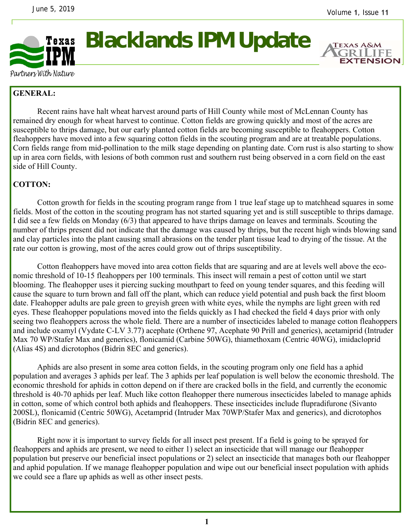

## **Blacklands IPM Update**



Partners With Nature

## **GENERAL:**

 Recent rains have halt wheat harvest around parts of Hill County while most of McLennan County has remained dry enough for wheat harvest to continue. Cotton fields are growing quickly and most of the acres are susceptible to thrips damage, but our early planted cotton fields are becoming susceptible to fleahoppers. Cotton fleahoppers have moved into a few squaring cotton fields in the scouting program and are at treatable populations. Corn fields range from mid-pollination to the milk stage depending on planting date. Corn rust is also starting to show up in area corn fields, with lesions of both common rust and southern rust being observed in a corn field on the east side of Hill County.

## **COTTON:**

Cotton growth for fields in the scouting program range from 1 true leaf stage up to matchhead squares in some fields. Most of the cotton in the scouting program has not started squaring yet and is still susceptible to thrips damage. I did see a few fields on Monday (6/3) that appeared to have thrips damage on leaves and terminals. Scouting the number of thrips present did not indicate that the damage was caused by thrips, but the recent high winds blowing sand and clay particles into the plant causing small abrasions on the tender plant tissue lead to drying of the tissue. At the rate our cotton is growing, most of the acres could grow out of thrips susceptibility.

 Cotton fleahoppers have moved into area cotton fields that are squaring and are at levels well above the economic threshold of 10-15 fleahoppers per 100 terminals. This insect will remain a pest of cotton until we start blooming. The fleahopper uses it piercing sucking mouthpart to feed on young tender squares, and this feeding will cause the square to turn brown and fall off the plant, which can reduce yield potential and push back the first bloom date. Fleahopper adults are pale green to greyish green with white eyes, while the nymphs are light green with red eyes. These fleahopper populations moved into the fields quickly as I had checked the field 4 days prior with only seeing two fleahoppers across the whole field. There are a number of insecticides labeled to manage cotton fleahoppers and include oxamyl (Vydate C-LV 3.77) acephate (Orthene 97, Acephate 90 Prill and generics), acetamiprid (Intruder Max 70 WP/Stafer Max and generics), flonicamid (Carbine 50WG), thiamethoxam (Centric 40WG), imidacloprid (Alias 4S) and dicrotophos (Bidrin 8EC and generics).

 Aphids are also present in some area cotton fields, in the scouting program only one field has a aphid population and averages 3 aphids per leaf. The 3 aphids per leaf population is well below the economic threshold. The economic threshold for aphids in cotton depend on if there are cracked bolls in the field, and currently the economic threshold is 40-70 aphids per leaf. Much like cotton fleahopper there numerous insecticides labeled to manage aphids in cotton, some of which control both aphids and fleahoppers. These insecticides include flupradifurone (Sivanto 200SL), flonicamid (Centric 50WG), Acetamprid (Intruder Max 70WP/Stafer Max and generics), and dicrotophos (Bidrin 8EC and generics).

 Right now it is important to survey fields for all insect pest present. If a field is going to be sprayed for fleahoppers and aphids are present, we need to either 1) select an insecticide that will manage our fleahopper population but preserve our beneficial insect populations or 2) select an insecticide that manages both our fleahopper and aphid population. If we manage fleahopper population and wipe out our beneficial insect population with aphids we could see a flare up aphids as well as other insect pests.